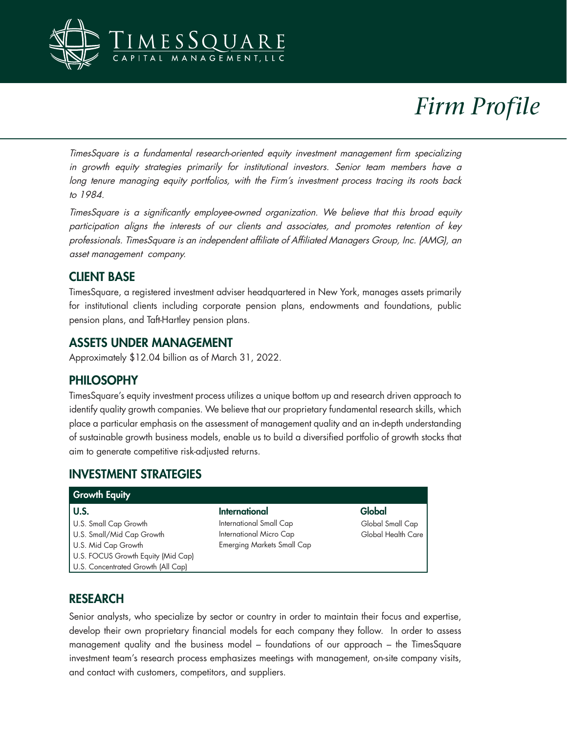

# *Firm Profile*

TimesSquare is a fundamental research-oriented equity investment management firm specializing in growth equity strategies primarily for institutional investors. Senior team members have a long tenure managing equity portfolios, with the Firm's investment process tracing its roots back to 1984.

TimesSquare is a significantly employee-owned organization. We believe that this broad equity participation aligns the interests of our clients and associates, and promotes retention of key professionals. TimesSquare is an independent affiliate of Affiliated Managers Group, Inc. (AMG), an asset management company.

## CLIENT BASE

TimesSquare, a registered investment adviser headquartered in New York, manages assets primarily for institutional clients including corporate pension plans, endowments and foundations, public pension plans, and Taft-Hartley pension plans.

## ASSETS UNDER MANAGEMENT

Approximately \$12.04 billion as of March 31, 2022.

#### PHILOSOPHY

TimesSquare's equity investment process utilizes a unique bottom up and research driven approach to identify quality growth companies. We believe that our proprietary fundamental research skills, which place a particular emphasis on the assessment of management quality and an in-depth understanding of sustainable growth business models, enable us to build a diversified portfolio of growth stocks that aim to generate competitive risk-adjusted returns.

#### INVESTMENT STRATEGIES

| <b>Growth Equity</b>               |                                   |                    |  |
|------------------------------------|-----------------------------------|--------------------|--|
| U.S.                               | International                     | Global             |  |
| U.S. Small Cap Growth              | International Small Cap           | Global Small Cap   |  |
| U.S. Small/Mid Cap Growth          | International Micro Cap           | Global Health Care |  |
| U.S. Mid Cap Growth                | <b>Emerging Markets Small Cap</b> |                    |  |
| U.S. FOCUS Growth Equity (Mid Cap) |                                   |                    |  |
| U.S. Concentrated Growth (All Cap) |                                   |                    |  |

## RESEARCH

Senior analysts, who specialize by sector or country in order to maintain their focus and expertise, develop their own proprietary financial models for each company they follow. In order to assess management quality and the business model – foundations of our approach – the TimesSquare investment team's research process emphasizes meetings with management, on-site company visits, and contact with customers, competitors, and suppliers.